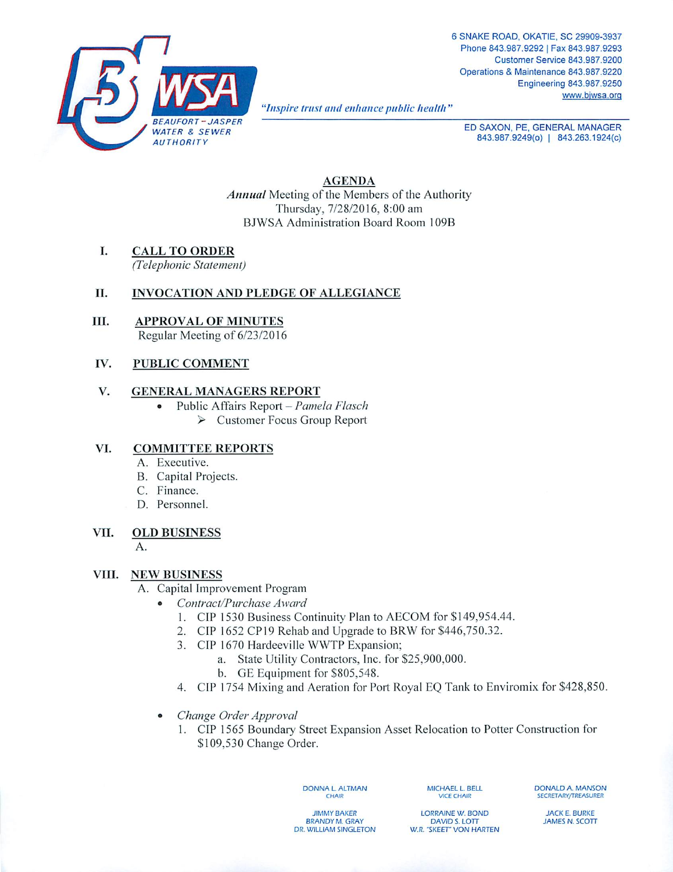

**"Inspire trust and enhance public health "**

ED SAXON, PE, GENERAL MANAGER 843.987.9249(0) | 843.263.1924(c)

*AGENDA* **Annual** Meeting of the Members of the Authority Thursday, 7/28/2016, 8:00 am BJWSA Administration Board Room 109B

*I. CALL TO ORDER* **(Telephonic Statement)**

# *II. INVOCATION AND PLEDGE OF ALLEGIANCE*

*III. APPROVAL OF MINUTES* Regular Meeting of 6/23/2016

## *IV. PUBLIC COMMENT*

### *V. GENERAL MANAGERS REPORT*

- Public Affairs Report **Pamela Flasch**
	- > Customer Focus Group Report

# *VI. COMMITTEE REPORTS*

- A. Executive.
- B. Capital Projects.
- C. Finance.
- D. Personnel.

# *VII. OLD BUSINESS*

A.

### *VIII. NEW BUSINESS*

- A. Capital Improvement Program
	- **Contract/Purchase Award**
		- 1. CIP 1530 Business Continuity Plan to AECOM for \$149,954.44.
		- 2. CIP 1652 *CP19* Rehab and Upgrade to BRW for \$446,750.32.
		- 3. CIP 1670 Hardeeville WWTP Expansion;
			- a. State Utility Contractors, Inc. for \$25,900,000.
			- b. GE Equipment for \$805,548.
		- 4. CIP 1754 Mixing and Aeration for Port Royal EQ Tank to Enviromix for \$428,850.
	- **Change Order Approval**
		- 1. CIP 1565 Boundary Street Expansion Asset Relocation to Potter Construction for \$109,530 Change Order.

DONNA L ALTMAN **CHAIR** 

MICHAEL L. BELL VICE CHAIR

DONALD A. MANSON SECRETARY/TREASURER

JIMMY BAKER BRANDY M.GRAY DR. WILLIAM SINGLETON

LORRAINE W. BOND DAVID S. LOTT W.R. "SKEET" VON HARTEN

JACK E. BURKE JAMES N. SCOTT